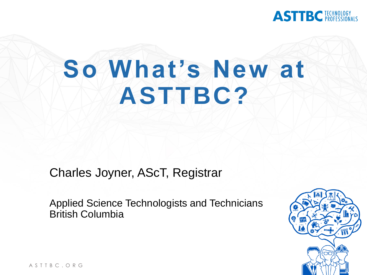

# **So What's New at ASTTBC?**

Charles Joyner, AScT, Registrar

Applied Science Technologists and Technicians British Columbia



A S T T B C . O R G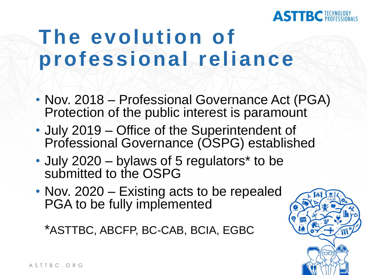#### **TBC ECHNOLOGY**

# **The evolution of professional reliance**

- Nov. 2018 Professional Governance Act (PGA) Protection of the public interest is paramount
- July 2019 Office of the Superintendent of Professional Governance (OSPG) established
- July 2020 bylaws of 5 regulators<sup>\*</sup> to be submitted to the OSPG
- Nov. 2020 Existing acts to be repealed PGA to be fully implemented

\*ASTTBC, ABCFP, BC-CAB, BCIA, EGBC

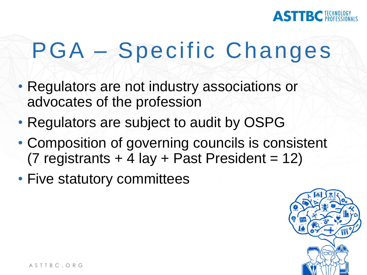

# PGA – Specific Changes

- Regulators are not industry associations or advocates of the profession
- Regulators are subject to audit by OSPG
- Composition of governing councils is consistent (7 registrants  $+$  4 lay  $+$  Past President = 12)
- Five statutory committees

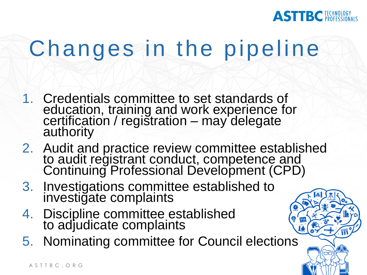

# Changes in the pipeline

- 1. Credentials committee to set standards of education, training and work experience for certification / registration – may delegate authority
- 2. Audit and practice review committee established to audit registrant conduct, competence and Continuing Professional Development (CPD)
- 3. Investigations committee established to investigate complaints
- 4. Discipline committee established to adjudicate complaints
- 5. Nominating committee for Council elections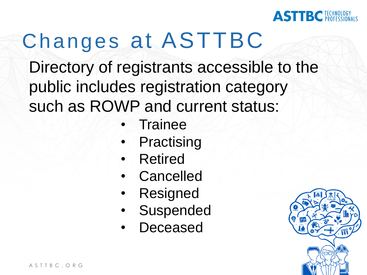

# Changes at ASTTBC

Directory of registrants accessible to the public includes registration category such as ROWP and current status:

- **Trainee**
- **Practising**
- **Retired**
- **Cancelled**
- **Resigned**
- **Suspended**
- **Deceased**

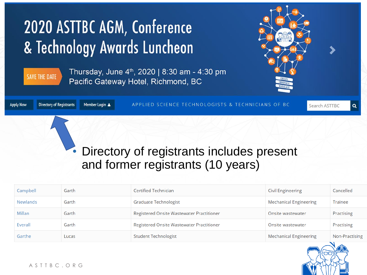# 2020 ASTTBC AGM, Conference & Technology Awards Luncheon



Thursday, June  $4<sup>th</sup>$ , 2020 | 8:30 am - 4:30 pm Pacific Gateway Hotel, Richmond, BC



| <b>Apply Now</b> | Directory of Registrants Member Login & | APPLIED SCIENCE TECHNOLOGISTS & TECHNICIANS OF BC | Search ASTTBC |
|------------------|-----------------------------------------|---------------------------------------------------|---------------|
|                  |                                         |                                                   |               |

#### • Directory of registrants includes present and former registrants (10 years)

| Campbell        | Garth | Certified Technician                      | <b>Civil Engineering</b>      | Cancelled      |
|-----------------|-------|-------------------------------------------|-------------------------------|----------------|
| <b>Newlands</b> | Garth | Graduate Technologist                     | <b>Mechanical Engineering</b> | Trainee        |
| Millan          | Garth | Registered Onsite Wastewater Practitioner | Onsite wastewater             | Practising     |
| Everall         | Garth | Registered Onsite Wastewater Practitioner | Onsite wastewater             | Practising     |
| Garthe          | Lucas | <b>Student Technologist</b>               | Mechanical Engineering        | Non-Practising |



Q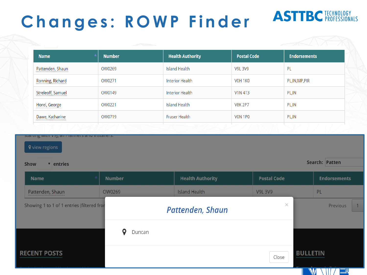## **Changes: ROWP Finder**

## **ASTTBC FECHNOLOGY**

| <b>Name</b>           | <b>Number</b> | <b>Health Authority</b> | <b>Postal Code</b> | <b>Endorsements</b> |
|-----------------------|---------------|-------------------------|--------------------|---------------------|
| Pattenden, Shaun<br>  | OW0269        | Island Health           | <b>V9L 3V9</b>     | PL                  |
| Ronning, Richard      | OW0271        | <b>Interior Health</b>  | VOH 1KO            | PL, IN, MP, PIR     |
| Streleoff, Samuel<br> | OW0149        | <b>Interior Health</b>  | <b>V1N 4T3</b>     | PL, IN              |
| Horel, George         | OW0221        | <b>Island Health</b>    | <b>V8K 2P7</b>     | PL, IN              |
| Dawe, Katharine<br>   | OW0719        | <b>Fraser Health</b>    | VON 1PO            | PL, IN              |

Show v entries Search: Patten

| Name                                       | <b>Number</b> | <b>Health Authority</b> | <b>Postal Code</b> | <b>Endorsements</b> |
|--------------------------------------------|---------------|-------------------------|--------------------|---------------------|
| Pattenden, Shaun<br>                       | OW0269        | <b>Island Health</b>    | <b>V9L 3V9</b>     | PL                  |
| Showing 1 to 1 of 1 entries (filtered fror |               | Pattenden, Shaun        | $\times$           | Previous            |
|                                            | О<br>Duncan   |                         |                    |                     |
| <b>RECENT POSTS</b>                        |               |                         | Close              | <b>BULLETIN</b>     |
|                                            |               |                         |                    |                     |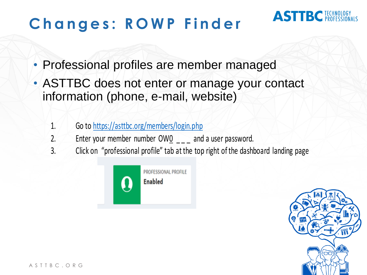## **Changes: ROWP Finder**

## **ASTTBC FECHNOLOGY**

- Professional profiles are member managed
- ASTTBC does not enter or manage your contact information (phone, e-mail, website)
	- 1. Go to https://asttbc.org/members/login.php
	- 2. Enter your member number  $OWQ_{\_ \_ \_ \_ \_ }$  and a user password.
	- 3. Click on "professional profile" tab at the top right of the dashboard landing page



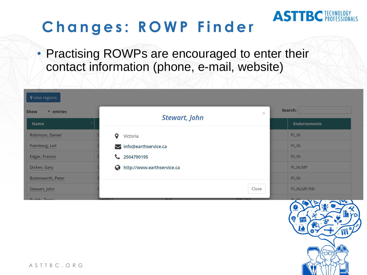## **C h a n g e s : R O W P F i n d e r**

• Practising ROWPs are encouraged to enter their contact information (phone, e-mail, website)

| <b>9</b> view regions |                                                  |         |                     |
|-----------------------|--------------------------------------------------|---------|---------------------|
| Show<br>v entries     | $\times$                                         | Search: |                     |
| Name                  | Stewart, John                                    |         | <b>Endorsements</b> |
| Robinson, Daniel      | $\circ$<br>Victoria                              |         | PL, IN              |
| Palmberg, Leif        | info@earthservice.ca                             |         | PL, IN              |
| Edgar, Francis        | 2504790195                                       |         | PL, IN              |
| Dicken, Gary          | http://www.earthservice.ca<br>◶                  |         | PL, IN, MP          |
| Butterworth, Peter    |                                                  |         | PL, IN              |
| Stewart, John         |                                                  | Close   | PL, IN, MP, PIR     |
| <b>Puddy Darry</b>    | <b>OWNOOD</b><br><b>NIJA</b><br>$10001 - 0.0001$ |         | DI IN AN A COMPANY  |



**ASTTBC FECHNOLOGY**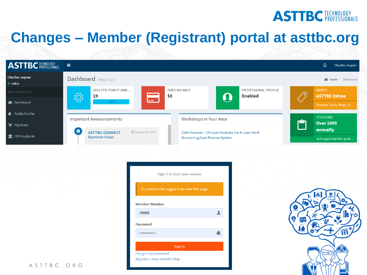### **ASTTBC FECHNOLOGY**

## **Changes – Member (Registrant) portal at asttbc.org**

| $\equiv$                                             |                                                                                                                     |                                                                                                                                                   | $\Delta$<br><b>Charles Joyner</b>                                                          |
|------------------------------------------------------|---------------------------------------------------------------------------------------------------------------------|---------------------------------------------------------------------------------------------------------------------------------------------------|--------------------------------------------------------------------------------------------|
| Dashboard Version 2.0                                |                                                                                                                     |                                                                                                                                                   | <b>2</b> Home > Dashboard                                                                  |
| 2020 CPD POINTS (MIN                                 |                                                                                                                     |                                                                                                                                                   | <b>ORDER</b><br>∕ ?<br><b>ASTTBC Extras</b>                                                |
| aan i<br>95%                                         |                                                                                                                     |                                                                                                                                                   | Stamps, Seals, Mugs, R                                                                     |
|                                                      |                                                                                                                     |                                                                                                                                                   | <b>TECHJOBS</b>                                                                            |
|                                                      |                                                                                                                     |                                                                                                                                                   | آها<br><b>Over 1000</b><br>annually                                                        |
| <b>Summer Issue</b>                                  | <b>Structuring/Last Planner System</b>                                                                              |                                                                                                                                                   | Job opportunities post                                                                     |
| <b>Member Number</b><br>18088<br><b>Password</b><br> | $\blacktriangle$<br>Δ                                                                                               | (စု                                                                                                                                               | ۰<br><b>Løng</b> r<br>冊                                                                    |
|                                                      | <b>्रि</b><br>19<br><b>Important Announcements</b><br>$\bullet$<br><b>ASTTBC CONNECT</b><br><b>@October-02-2019</b> | <b>DUES BALANCE</b><br>\$0<br>$\bullet$<br>Workshops In Your Area<br>Sign in to start your session<br>You need to be logged in to view this page. | PROFESSIONAL PROFILE<br><b>Enabled</b><br>ICBA Presents - CM-Lean Modules 3 & 4: Lean Work |

#### A S T T B C . O R G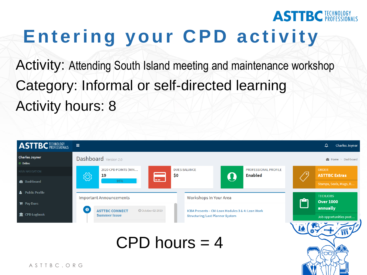# Entering your CPD activity

**ASTTBC** FECHNOLOGY

Activity: Attending South Island meeting and maintenance workshop Category: Informal or self-directed learning Activity hours: 8

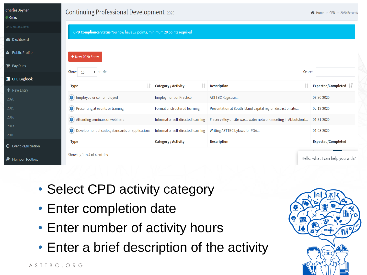

- Select CPD activity category
- Enter completion date
- Enter number of activity hours
- Enter a brief description of the activity

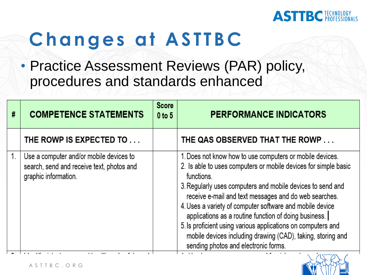#### **ASTTBC FECHNOLOGY**

# **Changes at ASTTBC**

• Practice Assessment Reviews (PAR) policy, procedures and standards enhanced

| # | <b>COMPETENCE STATEMENTS</b>                                                                                 | <b>Score</b><br>$0$ to $5$ | <b>PERFORMANCE INDICATORS</b>                                                                                                                                                                                                                                                                                                                                                                                                                                                                                                                                |
|---|--------------------------------------------------------------------------------------------------------------|----------------------------|--------------------------------------------------------------------------------------------------------------------------------------------------------------------------------------------------------------------------------------------------------------------------------------------------------------------------------------------------------------------------------------------------------------------------------------------------------------------------------------------------------------------------------------------------------------|
|   | THE ROWP IS EXPECTED TO                                                                                      |                            | THE QAS OBSERVED THAT THE ROWP                                                                                                                                                                                                                                                                                                                                                                                                                                                                                                                               |
|   | Use a computer and/or mobile devices to<br>search, send and receive text, photos and<br>graphic information. |                            | 1. Does not know how to use computers or mobile devices.<br>2. Is able to uses computers or mobile devices for simple basic<br>functions.<br>3. Regularly uses computers and mobile devices to send and<br>receive e-mail and text messages and do web searches.<br>4. Uses a variety of computer software and mobile device<br>applications as a routine function of doing business.<br>5. Is proficient using various applications on computers and<br>mobile devices including drawing (CAD), taking, storing and<br>sending photos and electronic forms. |
|   |                                                                                                              |                            |                                                                                                                                                                                                                                                                                                                                                                                                                                                                                                                                                              |